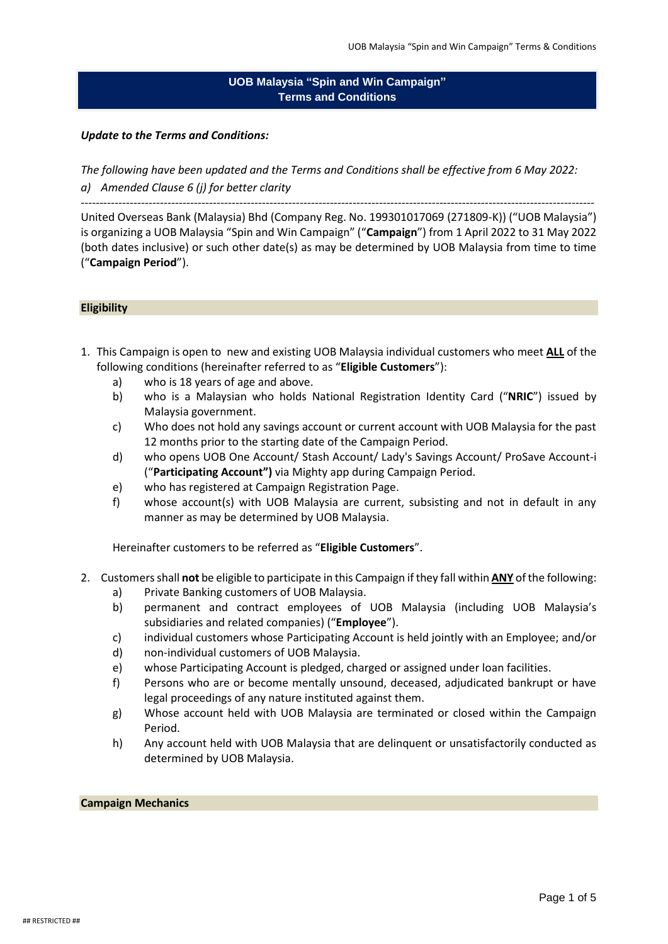# **UOB Malaysia "Spin and Win Campaign" Terms and Conditions**

## *Update to the Terms and Conditions:*

*The following have been updated and the Terms and Conditions shall be effective from 6 May 2022: a) Amended Clause 6 (j) for better clarity*

----------------------------------------------------------------------------------------------------------------------------------------

United Overseas Bank (Malaysia) Bhd (Company Reg. No. 199301017069 (271809-K)) ("UOB Malaysia") is organizing a UOB Malaysia "Spin and Win Campaign" ("**Campaign**") from 1 April 2022 to 31 May 2022 (both dates inclusive) or such other date(s) as may be determined by UOB Malaysia from time to time ("**Campaign Period**").

### **Eligibility**

- 1. This Campaign is open to new and existing UOB Malaysia individual customers who meet **ALL** of the following conditions (hereinafter referred to as "**Eligible Customers**"):
	- a) who is 18 years of age and above.
	- b) who is a Malaysian who holds National Registration Identity Card ("**NRIC**") issued by Malaysia government.
	- c) Who does not hold any savings account or current account with UOB Malaysia for the past 12 months prior to the starting date of the Campaign Period.
	- d) who opens UOB One Account/ Stash Account/ Lady's Savings Account/ ProSave Account-i ("**Participating Account")** via Mighty app during Campaign Period.
	- e) who has registered at Campaign Registration Page.
	- f) whose account(s) with UOB Malaysia are current, subsisting and not in default in any manner as may be determined by UOB Malaysia.

Hereinafter customers to be referred as "**Eligible Customers**".

- 2. Customers shall **not** be eligible to participate in this Campaign if they fall within **ANY** of the following:
	- a) Private Banking customers of UOB Malaysia.
	- b) permanent and contract employees of UOB Malaysia (including UOB Malaysia's subsidiaries and related companies) ("**Employee**").
	- c) individual customers whose Participating Account is held jointly with an Employee; and/or
	- d) non-individual customers of UOB Malaysia.
	- e) whose Participating Account is pledged, charged or assigned under loan facilities.
	- f) Persons who are or become mentally unsound, deceased, adjudicated bankrupt or have legal proceedings of any nature instituted against them.
	- g) Whose account held with UOB Malaysia are terminated or closed within the Campaign Period.
	- h) Any account held with UOB Malaysia that are delinquent or unsatisfactorily conducted as determined by UOB Malaysia.

### **Campaign Mechanics**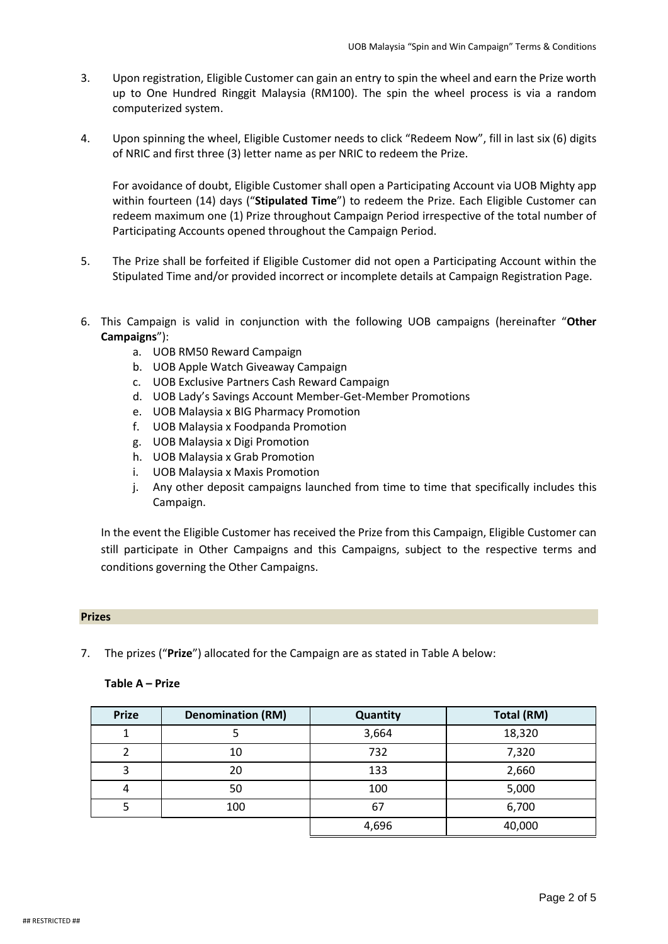- 3. Upon registration, Eligible Customer can gain an entry to spin the wheel and earn the Prize worth up to One Hundred Ringgit Malaysia (RM100). The spin the wheel process is via a random computerized system.
- 4. Upon spinning the wheel, Eligible Customer needs to click "Redeem Now", fill in last six (6) digits of NRIC and first three (3) letter name as per NRIC to redeem the Prize.

For avoidance of doubt, Eligible Customer shall open a Participating Account via UOB Mighty app within fourteen (14) days ("**Stipulated Time**") to redeem the Prize. Each Eligible Customer can redeem maximum one (1) Prize throughout Campaign Period irrespective of the total number of Participating Accounts opened throughout the Campaign Period.

- 5. The Prize shall be forfeited if Eligible Customer did not open a Participating Account within the Stipulated Time and/or provided incorrect or incomplete details at Campaign Registration Page.
- 6. This Campaign is valid in conjunction with the following UOB campaigns (hereinafter "**Other Campaigns**"):
	- a. UOB RM50 Reward Campaign
	- b. UOB Apple Watch Giveaway Campaign
	- c. UOB Exclusive Partners Cash Reward Campaign
	- d. UOB Lady's Savings Account Member-Get-Member Promotions
	- e. UOB Malaysia x BIG Pharmacy Promotion
	- f. UOB Malaysia x Foodpanda Promotion
	- g. UOB Malaysia x Digi Promotion
	- h. UOB Malaysia x Grab Promotion
	- i. UOB Malaysia x Maxis Promotion
	- j. Any other deposit campaigns launched from time to time that specifically includes this Campaign.

In the event the Eligible Customer has received the Prize from this Campaign, Eligible Customer can still participate in Other Campaigns and this Campaigns, subject to the respective terms and conditions governing the Other Campaigns.

### **Prizes**

7. The prizes ("**Prize**") allocated for the Campaign are as stated in Table A below:

### **Table A – Prize**

| <b>Prize</b> | <b>Denomination (RM)</b> | Quantity | Total (RM) |
|--------------|--------------------------|----------|------------|
|              |                          | 3,664    | 18,320     |
|              | 10                       | 732      | 7,320      |
|              | 20                       | 133      | 2,660      |
| 4            | 50                       | 100      | 5,000      |
|              | 100                      | 67       | 6,700      |
|              |                          | 4,696    | 40,000     |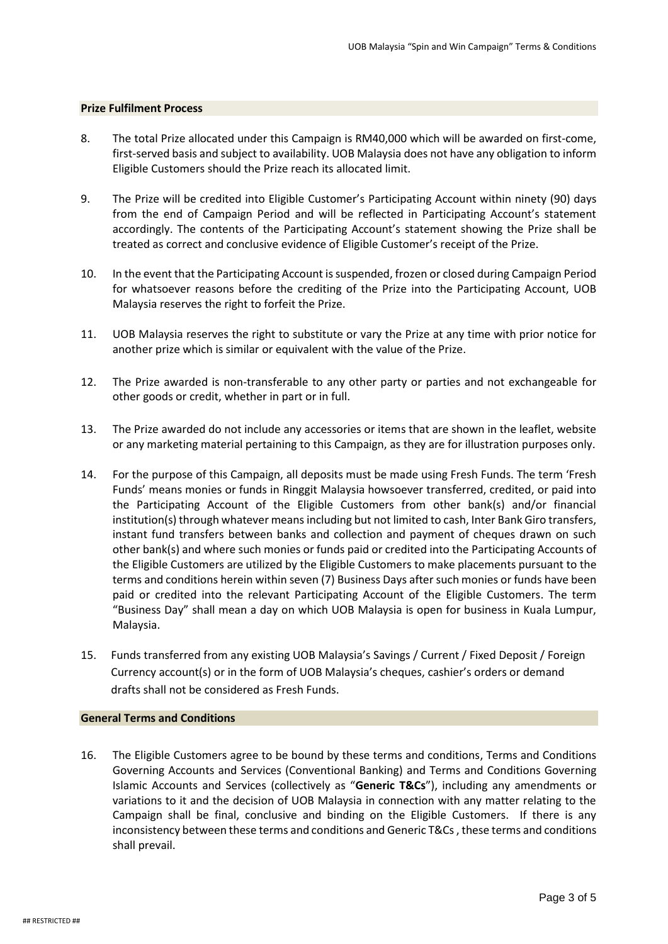#### **Prize Fulfilment Process**

- 8. The total Prize allocated under this Campaign is RM40,000 which will be awarded on first-come, first-served basis and subject to availability. UOB Malaysia does not have any obligation to inform Eligible Customers should the Prize reach its allocated limit.
- 9. The Prize will be credited into Eligible Customer's Participating Account within ninety (90) days from the end of Campaign Period and will be reflected in Participating Account's statement accordingly. The contents of the Participating Account's statement showing the Prize shall be treated as correct and conclusive evidence of Eligible Customer's receipt of the Prize.
- 10. In the event that the Participating Account is suspended, frozen or closed during Campaign Period for whatsoever reasons before the crediting of the Prize into the Participating Account, UOB Malaysia reserves the right to forfeit the Prize.
- 11. UOB Malaysia reserves the right to substitute or vary the Prize at any time with prior notice for another prize which is similar or equivalent with the value of the Prize.
- 12. The Prize awarded is non-transferable to any other party or parties and not exchangeable for other goods or credit, whether in part or in full.
- 13. The Prize awarded do not include any accessories or items that are shown in the leaflet, website or any marketing material pertaining to this Campaign, as they are for illustration purposes only.
- 14. For the purpose of this Campaign, all deposits must be made using Fresh Funds. The term 'Fresh Funds' means monies or funds in Ringgit Malaysia howsoever transferred, credited, or paid into the Participating Account of the Eligible Customers from other bank(s) and/or financial institution(s) through whatever means including but not limited to cash, Inter Bank Giro transfers, instant fund transfers between banks and collection and payment of cheques drawn on such other bank(s) and where such monies or funds paid or credited into the Participating Accounts of the Eligible Customers are utilized by the Eligible Customers to make placements pursuant to the terms and conditions herein within seven (7) Business Days after such monies or funds have been paid or credited into the relevant Participating Account of the Eligible Customers. The term "Business Day" shall mean a day on which UOB Malaysia is open for business in Kuala Lumpur, Malaysia.
- 15. Funds transferred from any existing UOB Malaysia's Savings / Current / Fixed Deposit / Foreign Currency account(s) or in the form of UOB Malaysia's cheques, cashier's orders or demand drafts shall not be considered as Fresh Funds.

#### **General Terms and Conditions**

16. The Eligible Customers agree to be bound by these terms and conditions, Terms and Conditions Governing Accounts and Services (Conventional Banking) and Terms and Conditions Governing Islamic Accounts and Services (collectively as "**Generic T&Cs**"), including any amendments or variations to it and the decision of UOB Malaysia in connection with any matter relating to the Campaign shall be final, conclusive and binding on the Eligible Customers. If there is any inconsistency between these terms and conditions and Generic T&Cs, these terms and conditions shall prevail.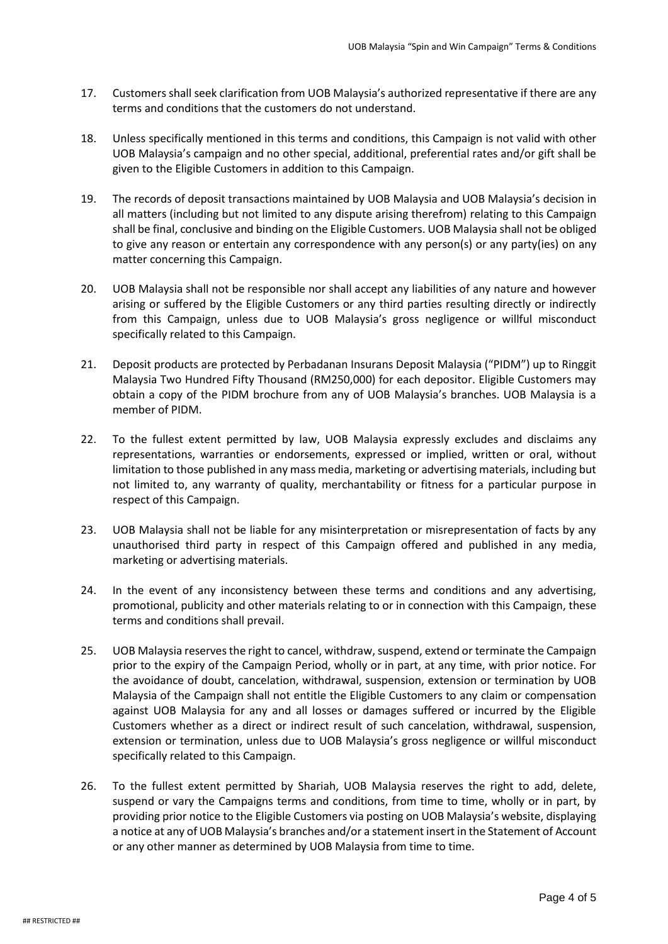- 17. Customers shall seek clarification from UOB Malaysia's authorized representative if there are any terms and conditions that the customers do not understand.
- 18. Unless specifically mentioned in this terms and conditions, this Campaign is not valid with other UOB Malaysia's campaign and no other special, additional, preferential rates and/or gift shall be given to the Eligible Customers in addition to this Campaign.
- 19. The records of deposit transactions maintained by UOB Malaysia and UOB Malaysia's decision in all matters (including but not limited to any dispute arising therefrom) relating to this Campaign shall be final, conclusive and binding on the Eligible Customers. UOB Malaysia shall not be obliged to give any reason or entertain any correspondence with any person(s) or any party(ies) on any matter concerning this Campaign.
- 20. UOB Malaysia shall not be responsible nor shall accept any liabilities of any nature and however arising or suffered by the Eligible Customers or any third parties resulting directly or indirectly from this Campaign, unless due to UOB Malaysia's gross negligence or willful misconduct specifically related to this Campaign.
- 21. Deposit products are protected by Perbadanan Insurans Deposit Malaysia ("PIDM") up to Ringgit Malaysia Two Hundred Fifty Thousand (RM250,000) for each depositor. Eligible Customers may obtain a copy of the PIDM brochure from any of UOB Malaysia's branches. UOB Malaysia is a member of PIDM.
- 22. To the fullest extent permitted by law, UOB Malaysia expressly excludes and disclaims any representations, warranties or endorsements, expressed or implied, written or oral, without limitation to those published in any mass media, marketing or advertising materials, including but not limited to, any warranty of quality, merchantability or fitness for a particular purpose in respect of this Campaign.
- 23. UOB Malaysia shall not be liable for any misinterpretation or misrepresentation of facts by any unauthorised third party in respect of this Campaign offered and published in any media, marketing or advertising materials.
- 24. In the event of any inconsistency between these terms and conditions and any advertising, promotional, publicity and other materials relating to or in connection with this Campaign, these terms and conditions shall prevail.
- 25. UOB Malaysia reserves the right to cancel, withdraw, suspend, extend or terminate the Campaign prior to the expiry of the Campaign Period, wholly or in part, at any time, with prior notice. For the avoidance of doubt, cancelation, withdrawal, suspension, extension or termination by UOB Malaysia of the Campaign shall not entitle the Eligible Customers to any claim or compensation against UOB Malaysia for any and all losses or damages suffered or incurred by the Eligible Customers whether as a direct or indirect result of such cancelation, withdrawal, suspension, extension or termination, unless due to UOB Malaysia's gross negligence or willful misconduct specifically related to this Campaign.
- 26. To the fullest extent permitted by Shariah, UOB Malaysia reserves the right to add, delete, suspend or vary the Campaigns terms and conditions, from time to time, wholly or in part, by providing prior notice to the Eligible Customers via posting on UOB Malaysia's website, displaying a notice at any of UOB Malaysia's branches and/or a statement insert in the Statement of Account or any other manner as determined by UOB Malaysia from time to time.